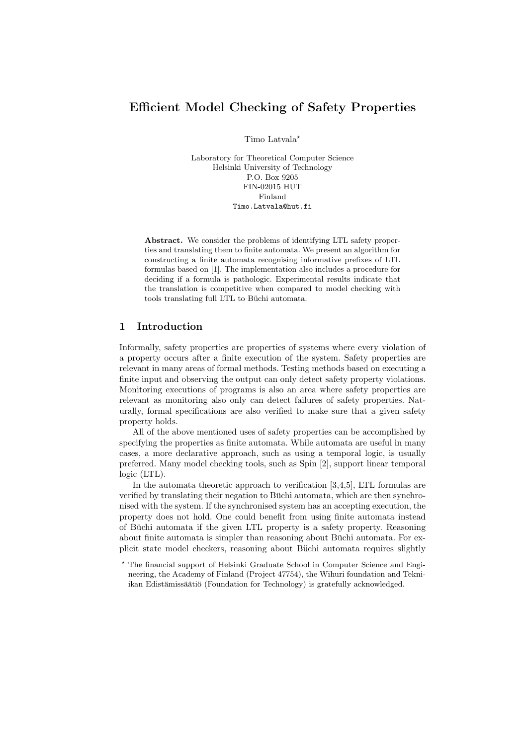# Efficient Model Checking of Safety Properties

Timo Latvala?

Laboratory for Theoretical Computer Science Helsinki University of Technology P.O. Box 9205 FIN-02015 HUT Finland Timo.Latvala@hut.fi

Abstract. We consider the problems of identifying LTL safety properties and translating them to finite automata. We present an algorithm for constructing a finite automata recognising informative prefixes of LTL formulas based on [1]. The implementation also includes a procedure for deciding if a formula is pathologic. Experimental results indicate that the translation is competitive when compared to model checking with tools translating full LTL to Büchi automata.

## 1 Introduction

Informally, safety properties are properties of systems where every violation of a property occurs after a finite execution of the system. Safety properties are relevant in many areas of formal methods. Testing methods based on executing a finite input and observing the output can only detect safety property violations. Monitoring executions of programs is also an area where safety properties are relevant as monitoring also only can detect failures of safety properties. Naturally, formal specifications are also verified to make sure that a given safety property holds.

All of the above mentioned uses of safety properties can be accomplished by specifying the properties as finite automata. While automata are useful in many cases, a more declarative approach, such as using a temporal logic, is usually preferred. Many model checking tools, such as Spin [2], support linear temporal logic (LTL).

In the automata theoretic approach to verification [3,4,5], LTL formulas are verified by translating their negation to Büchi automata, which are then synchronised with the system. If the synchronised system has [an](#page-13-0) accepting execution, the property does not hold. One could benefit from using finite automata instead of Buchi automata if the given LTL property is a sa[fet](#page-13-0)[y p](#page-14-0)roperty. Reasoning ¨ about finite automata is simpler than reasoning about Büchi automata. For explicit state model checkers, reasoning about Büchi automata requires slightly

<sup>?</sup> The financial support of Helsinki Graduate School in Computer Science and Engineering, the Academy of Finland (Project 47754), the Wihuri foundation and Tekniikan Edistämissäätiö (Foundation for Technology) is gratefully acknowledged.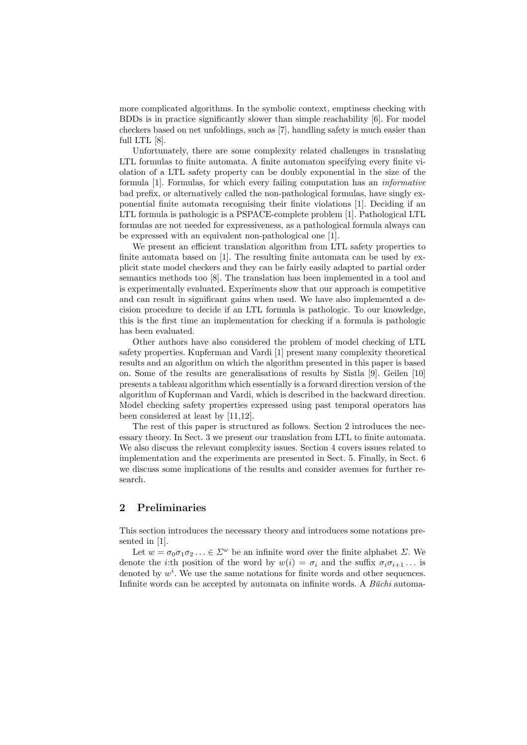more complicated algorithms. In the symbolic context, emptiness checking with BDDs is in practice significantly slower than simple reachability [6]. For model checkers based on net unfoldings, such as [7], handling safety is much easier than full LTL [8].

Unfortunately, there are some complexity related challenges in translating LTL formulas to finite automata. A finite automaton specifying [eve](#page-14-0)ry finite violation of a LTL safety property can be [d](#page-14-0)oubly exponential in the size of the formula [[1\].](#page-14-0) Formulas, for which every failing computation has an informative bad prefix, or alternatively called the non-pathological formulas, have singly exponential finite automata recognising their finite violations [1]. Deciding if an LTL formula is pathologic is a PSPACE-complete problem [1]. Pathological LTL formulas [ar](#page-13-0)e not needed for expressiveness, as a pathological formula always can be expressed with an equivalent non-pathological one [1].

We present an efficient translation algorithm from LTL s[afe](#page-13-0)ty properties to finite automata based on [1]. The resulting finite automat[a c](#page-13-0)an be used by explicit state model checkers and they can be fairly easily adapted to partial order semantics methods too [8]. The translation has been i[mp](#page-13-0)lemented in a tool and is experimentally evaluated. Experiments show that our approach is competitive and can result in significa[nt](#page-13-0) gains when used. We have also implemented a decision procedure to decide if an LTL formula is pathologic. To our knowledge, this is the first time an [im](#page-14-0)plementation for checking if a formula is pathologic has been evaluated.

Other authors have also considered the problem of model checking of LTL safety properties. Kupferman and Vardi [1] present many complexity theoretical results and an algorithm on which the algorithm presented in this paper is based on. Some of the results are generalisations of results by Sistla [9]. Geilen [10] presents a tableau algorithm which essentially is a forward direction version of the algorithm of Kupferman and Vardi, whic[h i](#page-13-0)s described in the backward direction. Model checking safety properties expressed using past temporal operators has been considered at least by [11,12].

The rest of this paper is structured as follows. Section 2 introduces the necessary theory. In Sect. 3 we present our translation from LTL to finite automata. We also discuss the relevant complexity issues. Section 4 covers issues related to implementation and the exp[erimen](#page-14-0)ts are presented in Sect. 5. Finally, in Sect. 6 we discuss some implications of the results and consider avenues for further research.

## 2 Preliminaries

This section introduces the necessary theory and introduces some notations presented in [1].

Let  $w = \sigma_0 \sigma_1 \sigma_2 \ldots \in \Sigma^{\omega}$  be an infinite word over the finite alphabet  $\Sigma$ . We denote the *i*:th position of the word by  $w(i) = \sigma_i$  and the suffix  $\sigma_i \sigma_{i+1} \dots$  is denoted by  $w^i$ . We use the same notations for finite words and other sequences. Infinite w[ord](#page-13-0)s can be accepted by automata on infinite words. A  $B\ddot{u}chi$  automa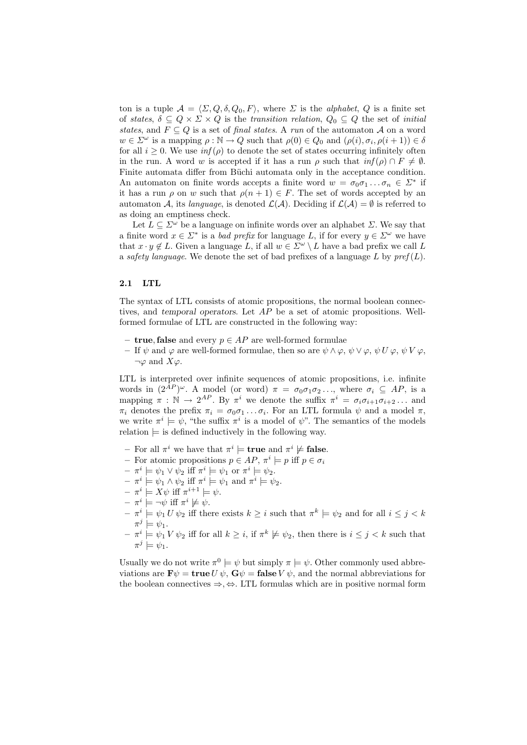ton is a tuple  $\mathcal{A} = \langle \Sigma, Q, \delta, Q_0, F \rangle$ , where  $\Sigma$  is the *alphabet*, Q is a finite set of states,  $\delta \subseteq Q \times \Sigma \times Q$  is the transition relation,  $Q_0 \subseteq Q$  the set of initial states, and  $F \subseteq Q$  is a set of final states. A run of the automaton A on a word  $w \in \Sigma^{\omega}$  is a mapping  $\rho : \mathbb{N} \to Q$  such that  $\rho(0) \in Q_0$  and  $(\rho(i), \sigma_i, \rho(i+1)) \in \delta$ for all  $i \geq 0$ . We use  $\inf(\rho)$  to denote the set of states occurring infinitely often in the run. A word w is accepted if it has a run  $\rho$  such that  $inf(\rho) \cap F \neq \emptyset$ . Finite automata differ from Büchi automata only in the acceptance condition. An automaton on finite words accepts a finite word  $w = \sigma_0 \sigma_1 \dots \sigma_n \in \Sigma^*$  if it has a run  $\rho$  on w such that  $\rho(n+1) \in F$ . The set of words accepted by an automaton A, its language, is denoted  $\mathcal{L}(\mathcal{A})$ . Deciding if  $\mathcal{L}(\mathcal{A}) = \emptyset$  is referred to as doing an emptiness check.

Let  $L \subset \Sigma^{\omega}$  be a language on infinite words over an alphabet  $\Sigma$ . We say that a finite word  $x \in \Sigma^*$  is a *bad prefix* for language L, if for every  $y \in \Sigma^\omega$  we have that  $x \cdot y \notin L$ . Given a language L, if all  $w \in \Sigma^{\omega} \setminus L$  have a bad prefix we call L a safety language. We denote the set of bad prefixes of a language  $L$  by  $pref(L)$ .

### 2.1 LTL

The syntax of LTL consists of atomic propositions, the normal boolean connectives, and temporal operators. Let AP be a set of atomic propositions. Wellformed formulae of LTL are constructed in the following way:

- true, false and every  $p \in AP$  are well-formed formulae
- If  $\psi$  and  $\varphi$  are well-formed formulae, then so are  $\psi \wedge \varphi$ ,  $\psi \vee \varphi$ ,  $\psi U \varphi$ ,  $\psi V \varphi$ ,  $\neg \varphi$  and  $X\varphi$ .

LTL is interpreted over infinite sequences of atomic propositions, i.e. infinite words in  $(2^{AP})^{\omega}$ . A model (or word)  $\pi = \sigma_0 \sigma_1 \sigma_2 \ldots$ , where  $\sigma_i \subseteq AP$ , is a mapping  $\pi : \mathbb{N} \to 2^{AP}$ . By  $\pi^i$  we denote the suffix  $\pi^i = \sigma_i \sigma_{i+1} \sigma_{i+2} \ldots$  and  $\pi_i$  denotes the prefix  $\pi_i = \sigma_0 \sigma_1 \dots \sigma_i$ . For an LTL formula  $\psi$  and a model  $\pi$ , we write  $\pi^i \models \psi$ , "the suffix  $\pi^i$  is a model of  $\psi$ ". The semantics of the models relation  $\models$  is defined inductively in the following way.

- For all  $\pi^i$  we have that  $\pi^i \models$  **true** and  $\pi^i \not\models$  **false.**
- For atomic propositions  $p \in AP$ ,  $\pi^i \models p$  iff  $p \in \sigma_i$
- $-\pi^i \models \psi_1 \vee \psi_2$  iff  $\pi^i \models \psi_1$  or  $\pi^i \models \psi_2$ .
- $-\pi^i \models \psi_1 \wedge \psi_2$  iff  $\pi^i \models \psi_1$  and  $\pi^i \models \psi_2$ .
- $\pi^i \models X \psi \text{ iff } \pi^{i+1} \models \psi.$
- $\pi^i \models \neg \psi \text{ iff } \pi^i \not\models \psi.$
- $-\pi^i \models \psi_1 U \psi_2$  iff there exists  $k \geq i$  such that  $\pi^k \models \psi_2$  and for all  $i \leq j < k$  $\pi^j \models \psi_1.$
- $-\pi^i \models \psi_1 V \psi_2$  iff for all  $k \geq i$ , if  $\pi^k \not\models \psi_2$ , then there is  $i \leq j < k$  such that  $\pi^j \models \psi_1.$

Usually we do not write  $\pi^0 \models \psi$  but simply  $\pi \models \psi$ . Other commonly used abbreviations are  $\mathbf{F}\psi = \mathbf{true} U \psi$ ,  $\mathbf{G}\psi = \mathbf{false} V \psi$ , and the normal abbreviations for the boolean connectives  $\Rightarrow$ ,  $\Leftrightarrow$ . LTL formulas which are in positive normal form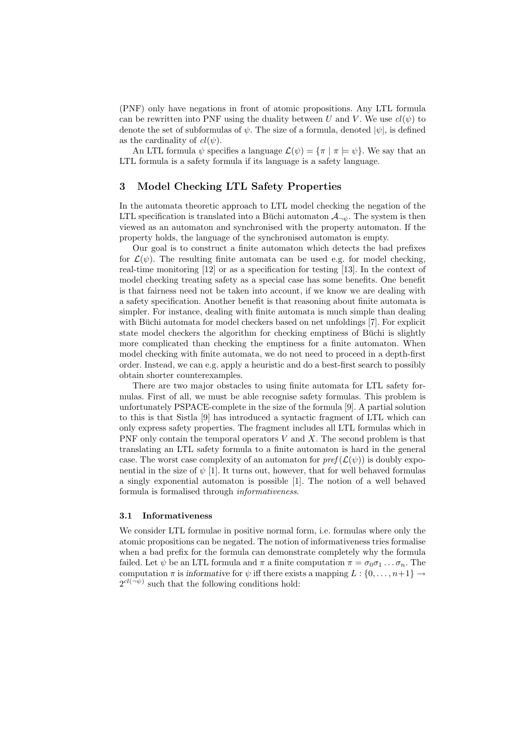(PNF) only have negations in front of atomic propositions. Any LTL formula can be rewritten into PNF using the duality between U and V. We use  $cl(\psi)$  to denote the set of subformulas of  $\psi$ . The size of a formula, denoted  $|\psi|$ , is defined as the cardinality of  $cl(\psi)$ .

An LTL formula  $\psi$  specifies a language  $\mathcal{L}(\psi) = {\pi | \pi \models \psi}$ . We say that an LTL formula is a safety formula if its language is a safety language.

## 3 Model Checking LTL Safety Properties

In the automata theoretic approach to LTL model checking the negation of the LTL specification is translated into a Büchi automaton  $\mathcal{A}_{\neg \psi}$ . The system is then viewed as an automaton and synchronised with the property automaton. If the property holds, the language of the synchronised automaton is empty.

Our goal is to construct a finite automaton which detects the bad prefixes for  $\mathcal{L}(\psi)$ . The resulting finite automata can be used e.g. for model checking, real-time monitoring [12] or as a specification for testing [13]. In the context of model checking treating safety as a special case has some benefits. One benefit is that fairness need not be taken into account, if we know we are dealing with a safety specification. Another benefit is that reasoning about finite automata is simpler. For instance, [dea](#page-14-0)ling with finite automata is muc[h s](#page-14-0)imple than dealing with Büchi automata for model checkers based on net unfoldings [7]. For explicit state model checkers the algorithm for checking emptiness of Büchi is slightly more complicated than checking the emptiness for a finite automaton. When model checking with finite automata, we do not need to proceed in a depth-first order. Instead, we can e.g. apply a heuristic and do a best-first se[arc](#page-14-0)h to possibly obtain shorter counterexamples.

There are two major obstacles to using finite automata for LTL safety formulas. First of all, we must be able recognise safety formulas. This problem is unfortunately PSPACE-complete in the size of the formula [9]. A partial solution to this is that Sistla [9] has introduced a syntactic fragment of LTL which can only express safety properties. The fragment includes all LTL formulas which in PNF only contain the temporal operators  $V$  and  $X$ . The second problem is that translating an LTL safety formula to a finite automaton i[s h](#page-14-0)ard in the general case. The worst case [com](#page-14-0)plexity of an automaton for  $pref(\mathcal{L}(\psi))$  is doubly exponential in the size of  $\psi$  [1]. It turns out, however, that for well behaved formulas a singly exponential automaton is possible [1]. The notion of a well behaved formula is formalised through informativeness.

### 3.1 Informativenes[s](#page-13-0)

We consider LTL formulae in positive normal [fo](#page-13-0)rm, i.e. formulas where only the atomic propositions can be negated. The notion of informativeness tries formalise when a bad prefix for the formula can demonstrate completely why the formula failed. Let  $\psi$  be an LTL formula and  $\pi$  a finite computation  $\pi = \sigma_0 \sigma_1 \dots \sigma_n$ . The computation  $\pi$  is informative for  $\psi$  iff there exists a mapping  $L: \{0, \ldots, n+1\} \rightarrow$  $2^{cl(\neg \psi)}$  such that the following conditions hold: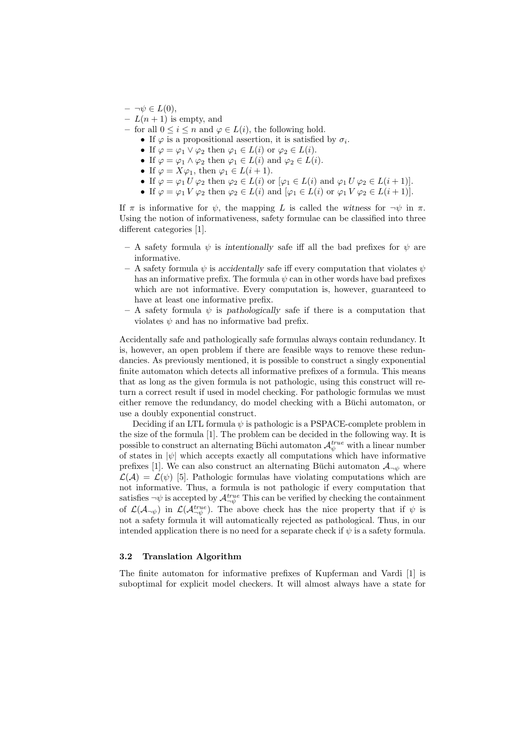- $\neg \psi \in L(0),$
- $L(n+1)$  is empty, and
- for all  $0 \leq i \leq n$  and  $\varphi \in L(i)$ , the following hold.
	- If  $\varphi$  is a propositional assertion, it is satisfied by  $\sigma_i$ .
	- If  $\varphi = \varphi_1 \vee \varphi_2$  then  $\varphi_1 \in L(i)$  or  $\varphi_2 \in L(i)$ .
	- If  $\varphi = \varphi_1 \wedge \varphi_2$  then  $\varphi_1 \in L(i)$  and  $\varphi_2 \in L(i)$ .
	- If  $\varphi = X\varphi_1$ , then  $\varphi_1 \in L(i+1)$ .
	- If  $\varphi = \varphi_1 U \varphi_2$  then  $\varphi_2 \in L(i)$  or  $[\varphi_1 \in L(i)$  and  $\varphi_1 U \varphi_2 \in L(i+1)]$ .
	- If  $\varphi = \varphi_1 V \varphi_2$  then  $\varphi_2 \in L(i)$  and  $[\varphi_1 \in L(i)$  or  $\varphi_1 V \varphi_2 \in L(i+1)]$ .

If  $\pi$  is informative for  $\psi$ , the mapping L is called the witness for  $\neg \psi$  in  $\pi$ . Using the notion of informativeness, safety formulae can be classified into three different categories [1].

- A safety formula  $\psi$  is intentionally safe iff all the bad prefixes for  $\psi$  are informative.
- $-$  A safety formula  $\psi$  is accidentally safe iff every computation that violates  $\psi$ has an informati[ve](#page-13-0) prefix. The formula  $\psi$  can in other words have bad prefixes which are not informative. Every computation is, however, guaranteed to have at least one informative prefix.
- $-$  A safety formula  $\psi$  is pathologically safe if there is a computation that violates  $\psi$  and has no informative bad prefix.

Accidentally safe and pathologically safe formulas always contain redundancy. It is, however, an open problem if there are feasible ways to remove these redundancies. As previously mentioned, it is possible to construct a singly exponential finite automaton which detects all informative prefixes of a formula. This means that as long as the given formula is not pathologic, using this construct will return a correct result if used in model checking. For pathologic formulas we must either remove the redundancy, do model checking with a Büchi automaton, or use a doubly exponential construct.

Deciding if an LTL formula  $\psi$  is pathologic is a PSPACE-complete problem in the size of the formula [1]. The problem can be decided in the following way. It is possible to construct an alternating Büchi automaton  $\mathcal{A}_{\psi}^{true}$  with a linear number of states in  $|\psi|$  which accepts exactly all computations which have informative prefixes [1]. We can also construct an alternating Büchi automaton  $\mathcal{A}_{\neg \psi}$  where  $\mathcal{L}(\mathcal{A}) = \mathcal{L}(\psi)$  [5]. Pat[ho](#page-13-0)logic formulas have violating computations which are not informative. Thus, a formula is not pathologic if every computation that satisfies  $\neg \psi$  is accepted by  $\mathcal{A}_{\neg \psi}^{true}$  This can be verified by checking the containment of  $\mathcal{L}(\mathcal{A}_{\neg\psi})$  in  $\mathcal{L}(\mathcal{A}_{\neg\psi}^{true})$ . The above check has the nice property that if  $\psi$  is not a safety fo[rm](#page-14-0)ula it will automatically rejected as pathological. Thus, in our intended application there is no need for a separate check if  $\psi$  is a safety formula.

### 3.2 Translation Algorithm

The finite automaton for informative prefixes of Kupferman and Vardi [1] is suboptimal for explicit model checkers. It will almost always have a state for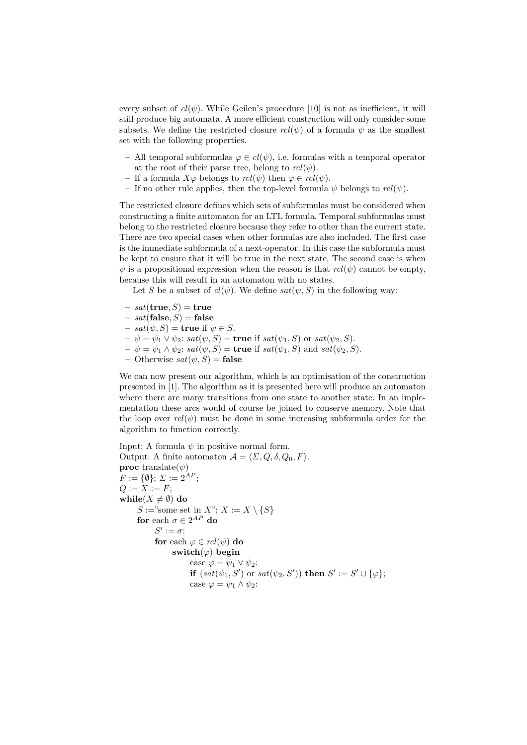every subset of  $cl(\psi)$ . While Geilen's procedure [10] is not as inefficient, it will still produce big automata. A more efficient construction will only consider some subsets. We define the restricted closure  $rel(\psi)$  of a formula  $\psi$  as the smallest set with the following properties.

- All temporal subfor[mula](#page-14-0)s  $\varphi \in cl(\psi)$ , i.e. formulas with a temporal operator at the root of their parse tree, belong to  $rcl(\psi)$ .
- If a formula  $X\varphi$  belongs to  $rel(\psi)$  then  $\varphi \in rel(\psi)$ .
- If no other rule applies, then the top-level formula  $\psi$  belongs to  $rel(\psi)$ .

The restricted closure defines which sets of subformulas must be considered when constructing a finite automaton for an LTL formula. Temporal subformulas must belong to the restricted closure because they refer to other than the current state. There are two special cases when other formulas are also included. The first case is the immediate subformula of a next-operator. In this case the subformula must be kept to ensure that it will be true in the next state. The second case is when  $\psi$  is a propositional expression when the reason is that  $rel(\psi)$  cannot be empty, because this will result in an automaton with no states.

Let S be a subset of  $cl(\psi)$ . We define  $sat(\psi, S)$  in the following way:

- $sat(true, S) = true$
- $sat(false, S) = false$
- $sat(\psi, S) =$  true if  $\psi \in S$ .
- $-\psi = \psi_1 \vee \psi_2$ :  $sat(\psi, S) = \text{true}$  if  $sat(\psi_1, S)$  or  $sat(\psi_2, S)$ .
- $-\psi = \psi_1 \wedge \psi_2$ :  $sat(\psi, S) = \text{true}$  if  $sat(\psi_1, S)$  and  $sat(\psi_2, S)$ .
- Otherwise  $sat(\psi, S)$  = false

We can now present our algorithm, which is an optimisation of the construction presented in [1]. The algorithm as it is presented here will produce an automaton where there are many transitions from one state to another state. In an implementation these arcs would of course be joined to conserve memory. Note that the loop over  $rel(\psi)$  must be done in some increasing subformula order for the algorithm to [fu](#page-13-0)nction correctly.

Input: A formula  $\psi$  in positive normal form. Output: A finite automaton  $\mathcal{A} = \langle \Sigma, Q, \delta, Q_0, F \rangle$ . **proc** translate( $\psi$ )  $F := \{\emptyset\};\ \Sigma := 2^{\stackrel{\cdot}{AP}};$  $Q := X := F;$ while( $X \neq \emptyset$ ) do S :="some set in X";  $X := X \setminus \{S\}$ for each  $\sigma \in 2^{AP}$  do  $S' := \sigma;$ for each  $\varphi \in rel(\psi)$  do switch( $\varphi$ ) begin case  $\varphi = \psi_1 \vee \psi_2$ : if  $(sat(\psi_1, S') \text{ or } sat(\psi_2, S'))$  then  $S' := S' \cup {\varphi}$ ; case  $\varphi = \psi_1 \wedge \psi_2$ :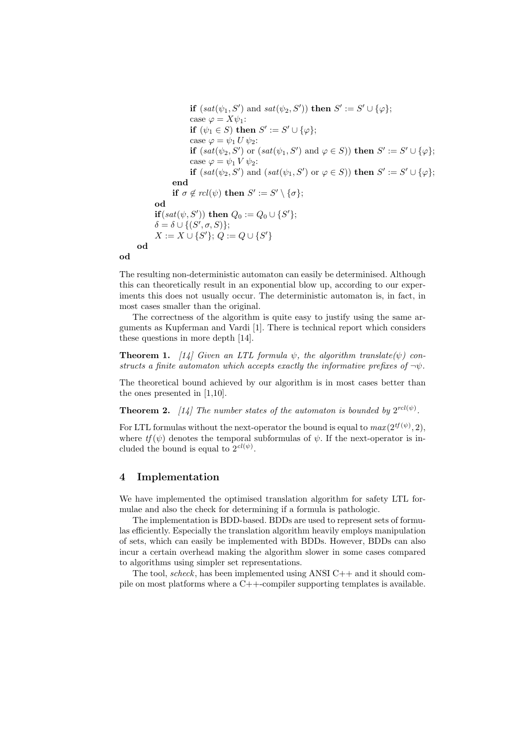```
if (sat(\psi_1, S') and sat(\psi_2, S') then S' := S' \cup {\varphi};
                           case \varphi = X\psi_1:
                            if (\psi_1 \in S) then S' := S' \cup {\varphi};
                           case \varphi = \psi_1 U \psi_2:
                            if (sat(\psi_2, S')) or (sat(\psi_1, S')) and \varphi \in S) then S' := S' \cup {\varphi};
                           case \varphi = \psi_1 V \psi_2:
                            if (sat(\psi_2, S') and (sat(\psi_1, S') or \varphi \in S)) then S' := S' \cup {\varphi};
                    end
                     if \sigma \notin rel(\psi) then S' := S' \setminus {\sigma};od
              \textbf{if}(sat(\psi,S')) \textbf{ then } Q_0 := Q_0 \cup \{S'\};\delta = \delta \cup \{ (S', \sigma, S) \};X := X \cup \{S'\}; Q := Q \cup \{S'\}od
od
```
The resulting non-deterministic automaton can easily be determinised. Although this can theoretically result in an exponential blow up, according to our experiments this does not usually occur. The deterministic automaton is, in fact, in most cases smaller than the original.

The correctness of the algorithm is quite easy to justify using the same arguments as Kupferman and Vardi [1]. There is technical report which considers these questions in more depth [14].

**Theorem 1.** [14] Given an LTL formula  $\psi$ , the algorithm translate( $\psi$ ) constructs a finite automaton which a[cce](#page-13-0)pts exactly the informative prefixes of  $\neg \psi$ .

The theoretical bound achieve[d b](#page-14-0)y our algorithm is in most cases better than the ones presen[ted](#page-14-0) in [1,10].

**Theorem 2.** [14] The number states of the automaton is bounded by  $2^{rel(\psi)}$ .

For LTL formulas without the next-operator the bound is equal to  $max(2^{tf(\psi)}, 2)$ , w[he](#page-13-0)re  $tf(\psi)$  denotes the [te](#page-14-0)mporal subformulas of  $\psi$ . If the next-operator is included the bou[nd i](#page-14-0)s equal to  $2^{cl(\psi)}$ .

## 4 Implementation

We have implemented the optimised translation algorithm for safety LTL formulae and also the check for determining if a formula is pathologic.

The implementation is BDD-based. BDDs are used to represent sets of formulas efficiently. Especially the translation algorithm heavily employs manipulation of sets, which can easily be implemented with BDDs. However, BDDs can also incur a certain overhead making the algorithm slower in some cases compared to algorithms using simpler set representations.

The tool, scheck, has been implemented using ANSI  $C++$  and it should compile on most platforms where a C++-compiler supporting templates is available.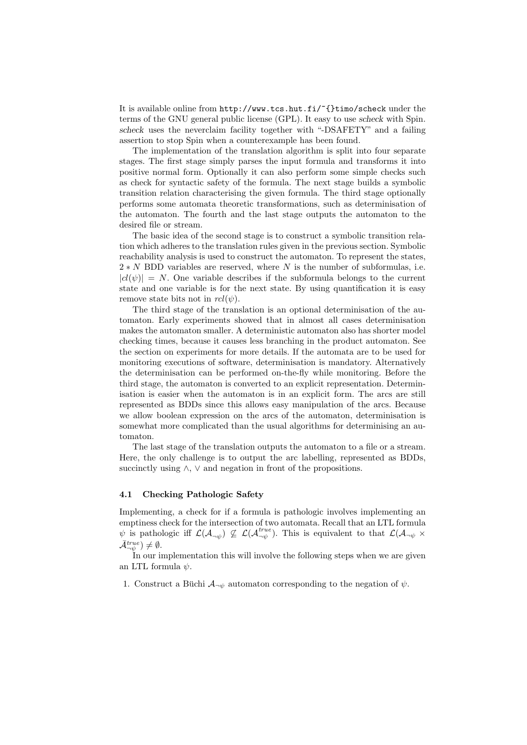It is available online from http://www.tcs.hut.fi/~{}timo/scheck under the terms of the GNU general public license (GPL). It easy to use scheck with Spin. scheck uses the neverclaim facility together with "-DSAFETY" and a failing assertion to stop Spin when a counterexample has been found.

The implementation [of the translation algorithm is split into four](http://www.tcs.hut.fi/~{ }timo/scheck) separate stages. The first stage simply parses the input formula and transforms it into positive normal form. Optionally it can also perform some simple checks such as check for syntactic safety of the formula. The next stage builds a symbolic transition relation characterising the given formula. The third stage optionally performs some automata theoretic transformations, such as determinisation of the automaton. The fourth and the last stage outputs the automaton to the desired file or stream.

The basic idea of the second stage is to construct a symbolic transition relation which adheres to the translation rules given in the previous section. Symbolic reachability analysis is used to construct the automaton. To represent the states,  $2*N$  BDD variables are reserved, where N is the number of subformulas, i.e.  $|cl(\psi)| = N$ . One variable describes if the subformula belongs to the current state and one variable is for the next state. By using quantification it is easy remove state bits not in  $rcl(\psi)$ .

The third stage of the translation is an optional determinisation of the automaton. Early experiments showed that in almost all cases determinisation makes the automaton smaller. A deterministic automaton also has shorter model checking times, because it causes less branching in the product automaton. See the section on experiments for more details. If the automata are to be used for monitoring executions of software, determinisation is mandatory. Alternatively the determinisation can be performed on-the-fly while monitoring. Before the third stage, the automaton is converted to an explicit representation. Determinisation is easier when the automaton is in an explicit form. The arcs are still represented as BDDs since this allows easy manipulation of the arcs. Because we allow boolean expression on the arcs of the automaton, determinisation is somewhat more complicated than the usual algorithms for determinising an automaton.

The last stage of the translation outputs the automaton to a file or a stream. Here, the only challenge is to output the arc labelling, represented as BDDs, succinctly using  $\land$ ,  $\lor$  and negation in front of the propositions.

#### 4.1 Checking Pathologic Safety

Implementing, a check for if a formula is pathologic involves implementing an emptiness check for the intersection of two automata. Recall that an LTL formula  $\psi$  is pathologic iff  $\mathcal{L}(\mathcal{A}_{\neg\psi}) \nsubseteq \mathcal{L}(\mathcal{A}_{\neg\psi}^{true})$ . This is equivalent to that  $\mathcal{L}(\mathcal{A}_{\neg\psi} \times$  $\bar{\mathcal{A}}_{\neg \psi}^{true}$   $\neq \emptyset$ .

In our implementation this will involve the following steps when we are given an LTL formula  $\psi$ .

1. Construct a Büchi  $\mathcal{A}_{\neg \psi}$  automaton corresponding to the negation of  $\psi$ .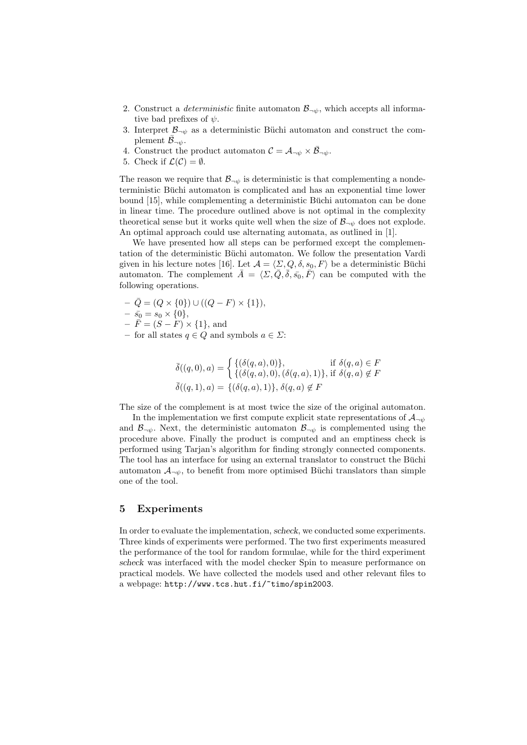- 2. Construct a *deterministic* finite automaton  $\mathcal{B}_{\neg \psi}$ , which accepts all informative bad prefixes of  $\psi$ .
- 3. Interpret  $\mathcal{B}_{\neg \psi}$  as a deterministic Büchi automaton and construct the complement  $\bar{\mathcal{B}}_{\neg \psi}$ .
- 4. Construct the product automaton  $\mathcal{C} = \mathcal{A}_{\neg \psi} \times \mathcal{B}_{\neg \psi}$ .
- 5. Check if  $\mathcal{L}(\mathcal{C}) = \emptyset$ .

The reason we require that  $\mathcal{B}_{\neg \psi}$  is deterministic is that complementing a nondeterministic Büchi automaton is complicated and has an exponential time lower bound [15], while complementing a deterministic Büchi automaton can be done in linear time. The procedure outlined above is not optimal in the complexity theoretical sense but it works quite well when the size of  $\mathcal{B}_{\neg \psi}$  does not explode. An optimal approach could use alternating automata, as outlined in [1].

We [hav](#page-14-0)e presented how all steps can be performed except the complementation of the deterministic Büchi automaton. We follow the presentation Vardi given in his lecture notes [16]. Let  $\mathcal{A} = \langle \Sigma, Q, \delta, s_0, F \rangle$  be a deterministic Buchi automaton. The complement  $\bar{A} = \langle \Sigma, \bar{Q}, \bar{\delta}, \bar{s_0}, \bar{F} \rangle$  can be compute[d w](#page-13-0)ith the following operations.

$$
- \bar{Q} = (Q \times \{0\}) \cup ((Q - F) \times \{1\}),
$$

- $\bar{s_0} = s_0 \times \{0\},\,$  $-\overline{\overline{F}} = (\overline{S} - \overline{F}) \times \{1\}$ , and
- for all states  $q \in Q$  and symbols  $a \in \Sigma$ :

$$
\bar{\delta}((q,0),a) = \begin{cases}\n\{(\delta(q,a),0)\}, & \text{if } \delta(q,a) \in F \\
\{(\delta(q,a),0), (\delta(q,a),1)\}, & \text{if } \delta(q,a) \notin F\n\end{cases}
$$
\n
$$
\bar{\delta}((q,1),a) = \{(\delta(q,a),1)\}, \delta(q,a) \notin F
$$

The size of the complement is at most twice the size of the original automaton.

In the implementation we first compute explicit state representations of  $\mathcal{A}_{\neg \psi}$ and  $\mathcal{B}_{\neg \psi}$ . Next, the deterministic automaton  $\mathcal{B}_{\neg \psi}$  is complemented using the procedure above. Finally the product is computed and an emptiness check is performed using Tarjan's algorithm for finding strongly connected components. The tool has an interface for using an external translator to construct the Büchi automaton  $\mathcal{A}_{\neg \psi}$ , to benefit from more optimised Büchi translators than simple one of the tool.

## 5 Experiments

In order to evaluate the implementation, scheck, we conducted some experiments. Three kinds of experiments were performed. The two first experiments measured the performance of the tool for random formulae, while for the third experiment scheck was interfaced with the model checker Spin to measure performance on practical models. We have collected the models used and other relevant files to a webpage: http://www.tcs.hut.fi/~timo/spin2003.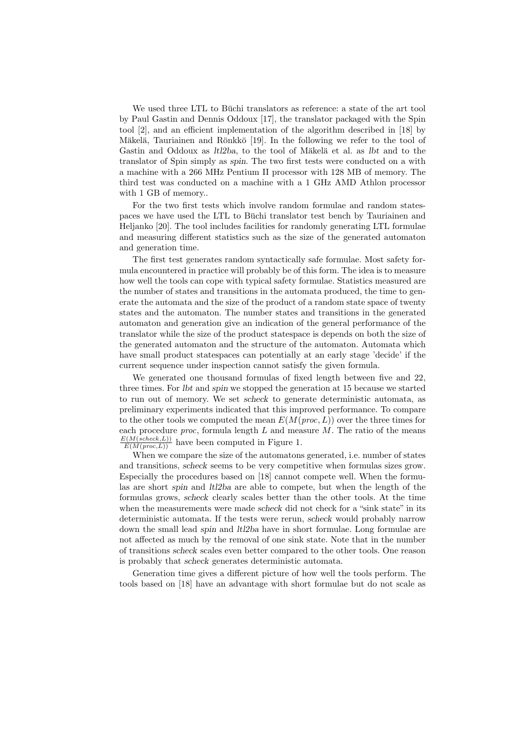We used three LTL to Büchi translators as reference: a state of the art tool by Paul Gastin and Dennis Oddoux [17], the translator packaged with the Spin tool [2], and an efficient implementation of the algorithm described in [18] by Mäkelä, Tauriainen and Rönkkö [19]. In the following we refer to the tool of Gastin and Oddoux as  $ltl12ba$ , to the tool of Mäkelä et al. as  $lbt$  and to the translator of Spin simply as spin. T[he t](#page-14-0)wo first tests were conducted on a with a ma[ch](#page-13-0)ine with a 266 MHz Pentium II processor with 128 MB of memo[ry. T](#page-14-0)he third test was conducted on a m[achi](#page-14-0)ne with a 1 GHz AMD Athlon processor with 1 GB of memory...

For the two first tests which involve random formulae and random statespaces we have used the LTL to Büchi translator test bench by Tauriainen and Heljanko [20]. The tool includes facilities for randomly generating LTL formulae and measuring different statistics such as the size of the generated automaton and generation time.

The first test generates random syntactically safe formulae. Most safety formula enco[unt](#page-14-0)ered in practice will probably be of this form. The idea is to measure how well the tools can cope with typical safety formulae. Statistics measured are the number of states and transitions in the automata produced, the time to generate the automata and the size of the product of a random state space of twenty states and the automaton. The number states and transitions in the generated automaton and generation give an indication of the general performance of the translator while the size of the product statespace is depends on both the size of the generated automaton and the structure of the automaton. Automata which have small product statespaces can potentially at an early stage 'decide' if the current sequence under inspection cannot satisfy the given formula.

We generated one thousand formulas of fixed length between five and 22, three times. For lbt and spin we stopped the generation at 15 because we started to run out of memory. We set scheck to generate deterministic automata, as preliminary experiments indicated that this improved performance. To compare to the other tools we computed the mean  $E(M(proc, L))$  over the three times for each procedure *proc*, formula length  $L$  and measure  $M$ . The ratio of the means  $\frac{E(M(scheck,L))}{E(M(proc,L))}$  have been computed in Figure 1.

When we compare the size of the automatons generated, i.e. number of states and transitions, scheck seems to be very competitive when formulas sizes grow. Especially the procedures based on [18] cannot compete well. When the formulas are short spin and ltl2ba are able to co[mp](#page-10-0)ete, but when the length of the formulas grows, scheck clearly scales better than the other tools. At the time when the measurements were made *scheck* did not check for a "sink state" in its deterministic automata. If the tests [we](#page-14-0)re rerun, scheck would probably narrow down the small lead spin and ltl2ba have in short formulae. Long formulae are not affected as much by the removal of one sink state. Note that in the number of transitions scheck scales even better compared to the other tools. One reason is probably that scheck generates deterministic automata.

Generation time gives a different picture of how well the tools perform. The tools based on [18] have an advantage with short formulae but do not scale as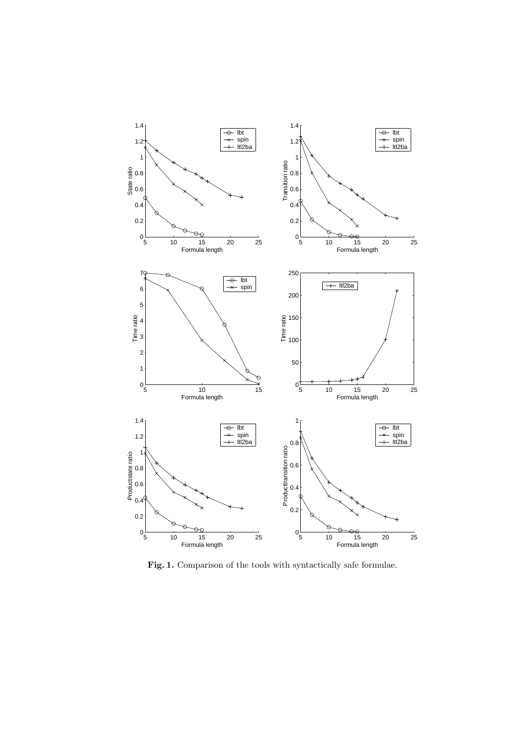<span id="page-10-0"></span>

Fig. 1. Comparison of the tools with syntactically safe formulae.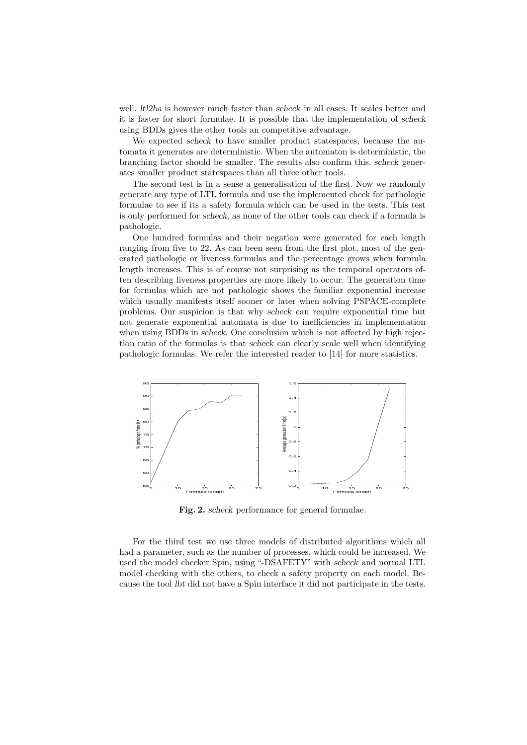well. *ltl2ba* is however much faster than *scheck* in all cases. It scales better and it is faster for short formulae. It is possible that the implementation of scheck using BDDs gives the other tools an competitive advantage.

We expected scheck to have smaller product statespaces, because the automata it generates are deterministic. When the automaton is deterministic, the branching factor should be smaller. The results also confirm this. scheck generates smaller product statespaces than all three other tools.

The second test is in a sense a generalisation of the first. Now we randomly generate any type of LTL formula and use the implemented check for pathologic formulae to see if its a safety formula which can be used in the tests. This test is only performed for scheck, as none of the other tools can check if a formula is pathologic.

One hundred formulas and their negation were generated for each length ranging from five to 22. As can been seen from the first plot, most of the generated pathologic or liveness formulas and the percentage grows when formula length increases. This is of course not surprising as the temporal operators often describing liveness properties are more likely to occur. The generation time for formulas which are not pathologic shows the familiar exponential increase which usually manifests itself sooner or later when solving PSPACE-complete problems. Our suspicion is that why scheck can require exponential time but not generate exponential automata is due to inefficiencies in implementation when using BDDs in *scheck*. One conclusion which is not affected by high rejection ratio of the formulas is that scheck can clearly scale well when identifying pathologic formulas. We refer the interested reader to [14] for more statistics.



Fig. 2. scheck performance for general formulae.

For the third test we use three models of distributed algorithms which all had a parameter, such as the number of processes, which could be increased. We used the model checker Spin, using "-DSAFETY" with scheck and normal LTL model checking with the others, to check a safety property on each model. Because the tool lbt did not have a Spin interface it did not participate in the tests.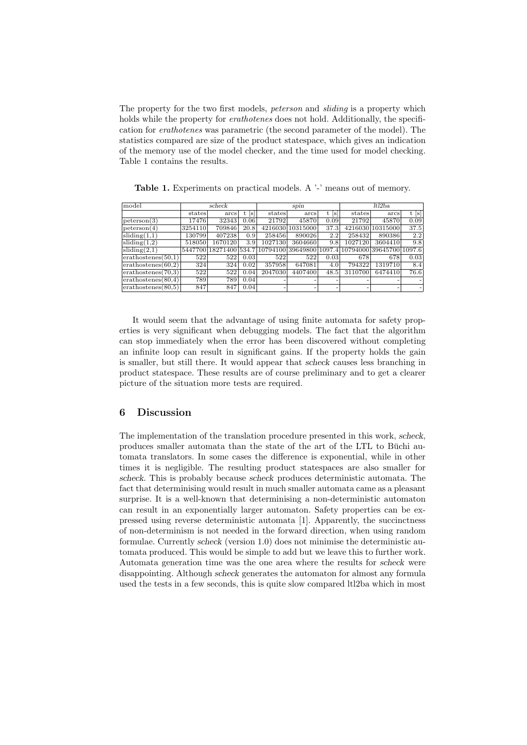The property for the two first models, *peterson* and *sliding* is a property which holds while the property for *erathotenes* does not hold. Additionally, the specification for erathotenes was parametric (the second parameter of the model). The statistics compared are size of the product statespace, which gives an indication of the memory use of the model checker, and the time used for model checking. Table 1 contains the results.

| model                            | scheck  |         |      | spin    |                                                 |        | ltl2ba  |                          |      |
|----------------------------------|---------|---------|------|---------|-------------------------------------------------|--------|---------|--------------------------|------|
|                                  | states  | arcs    | s    | states  | arcs                                            | $t$  s | states  | arcs                     | t[s] |
| peterson(3)                      | 17476   | 32343   | 0.06 | 21792   | 45870                                           | 0.09   | 21792   | 45870                    | 0.09 |
| peterson(4)                      | 3254110 | 709846  | 20.8 |         | 4216030 10315000                                | 37.3   |         | 4216030 10315000         | 37.5 |
| $\overline{\text{sliding}}(1,1)$ | 1307991 | 407238  | 0.9  | 258456  | 890026                                          | 2.2    | 258432  | 890386                   | 2.2  |
| $\text{sliding}(1,2)$            | 518050  | 1670120 | 3.9  | 1027130 | 3604660                                         | 9.8    | 1027120 | 3604410                  | 9.8  |
| sliding(2,1)                     |         |         |      |         | 5447700 18271400 534.7 10794100 39649800 1097.4 |        |         | 10794000 39645700 1097.6 |      |
| erathostenes(50,1)               | 522     | 522     | 0.03 | 522     | 522                                             | 0.03   | 678     | 678                      | 0.03 |
| erathostenes(60,2)               | 324     | 324     | 0.02 | 357958  | 647081                                          | 4.0    | 794322  | 1319710                  | 8.4  |
| erathostenes(70,3)               | 522     | 522     | 0.04 | 2047030 | 4407400                                         | 48.5   | 3110700 | 6474410                  | 76.6 |
| erathostenes(80,4)               | 789     | 7891    | 0.04 |         |                                                 |        |         |                          |      |
| erathostenes(80,5)               | 847     | 847     | 0.04 | ۰       |                                                 |        |         |                          |      |

Table 1. Experiments on practical models. A '-' means out of memory.

It would seem that the advantage of using finite automata for safety properties is very significant when debugging models. The fact that the algorithm can stop immediately when the error has been discovered without completing an infinite loop can result in significant gains. If the property holds the gain is smaller, but still there. It would appear that scheck causes less branching in product statespace. These results are of course preliminary and to get a clearer picture of the situation more tests are required.

## 6 Discussion

The implementation of the translation procedure presented in this work, scheck, produces smaller automata than the state of the art of the LTL to Büchi automata translators. In some cases the difference is exponential, while in other times it is negligible. The resulting product statespaces are also smaller for scheck. This is probably because scheck produces deterministic automata. The fact that determinising would result in much smaller automata came as a pleasant surprise. It is a well-known that determinising a non-deterministic automaton can result in an exponentially larger automaton. Safety properties can be expressed using reverse deterministic automata [1]. Apparently, the succinctness of non-determinism is not needed in the forward direction, when using random formulae. Currently scheck (version 1.0) does not minimise the deterministic automata produced. This would be simple to add but we leave this to further work. Automata generation time was the one area [wh](#page-13-0)ere the results for scheck were disappointing. Although scheck generates the automaton for almost any formula used the tests in a few seconds, this is quite slow compared ltl2ba which in most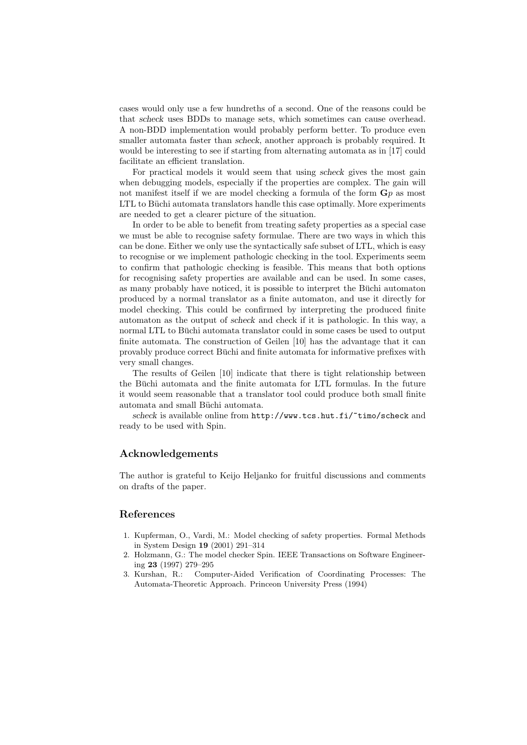<span id="page-13-0"></span>cases would only use a few hundreths of a second. One of the reasons could be that scheck uses BDDs to manage sets, which sometimes can cause overhead. A non-BDD implementation would probably perform better. To produce even smaller automata faster than scheck, another approach is probably required. It would be interesting to see if starting from alternating automata as in [17] could facilitate an efficient translation.

For practical models it would seem that using scheck gives the most gain when debugging models, especially if the properties are complex. The gain will not manifest itself if we are model checking a formula of the form  $\mathbf{G}p$  [as](#page-14-0) most LTL to Büchi automata translators handle this case optimally. More experiments are needed to get a clearer picture of the situation.

In order to be able to benefit from treating safety properties as a special case we must be able to recognise safety formulae. There are two ways in which this can be done. Either we only use the syntactically safe subset of LTL, which is easy to recognise or we implement pathologic checking in the tool. Experiments seem to confirm that pathologic checking is feasible. This means that both options for recognising safety properties are available and can be used. In some cases, as many probably have noticed, it is possible to interpret the Büchi automaton produced by a normal translator as a finite automaton, and use it directly for model checking. This could be confirmed by interpreting the produced finite automaton as the output of scheck and check if it is pathologic. In this way, a normal LTL to Büchi automata translator could in some cases be used to output finite automata. The construction of Geilen [10] has the advantage that it can provably produce correct Buchi and finite automata for informative prefixes with ¨ very small changes.

The results of Geilen [10] indicate that there is tight relationship between the Büchi automata and the finite automat[a fo](#page-14-0)r LTL formulas. In the future it would seem reasonable that a translator tool could produce both small finite automata and small Büchi automata.

scheck is available onli[ne f](#page-14-0)rom http://www.tcs.hut.fi/~timo/scheck and ready to be used with Spin.

## Acknowledgements

The author is grateful to Keijo Heljanko for fruitful discussions and comments on drafts of the paper.

## References

- 1. Kupferman, O., Vardi, M.: Model checking of safety properties. Formal Methods in System Design 19 (2001) 291–314
- 2. Holzmann, G.: The model checker Spin. IEEE Transactions on Software Engineering 23 (1997) 279–295
- 3. Kurshan, R.: Computer-Aided Verification of Coordinating Processes: The Automata-Theoretic Approach. Princeon University Press (1994)